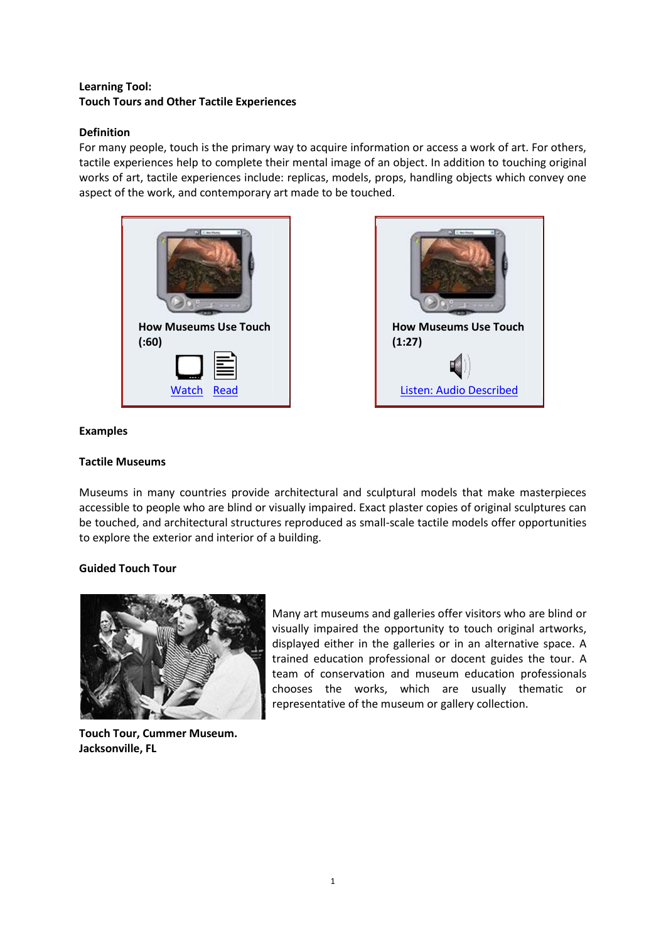# **Learning Tool: Touch Tours and Other Tactile Experiences**

# **Definition**

For many people, touch is the primary way to acquire information or access a work of art. For others, tactile experiences help to complete their mental image of an object. In addition to touching original works of art, tactile experiences include: replicas, models, props, handling objects which convey one aspect of the work, and contemporary art made to be touched.





### **Examples**

# **Tactile Museums**

Museums in many countries provide architectural and sculptural models that make masterpieces accessible to people who are blind or visually impaired. Exact plaster copies of original sculptures can be touched, and architectural structures reproduced as small-scale tactile models offer opportunities to explore the exterior and interior of a building.

# **Guided Touch Tour**



**Touch Tour, Cummer Museum. Jacksonville, FL**

Many art museums and galleries offer visitors who are blind or visually impaired the opportunity to touch original artworks, displayed either in the galleries or in an alternative space. A trained education professional or docent guides the tour. A team of conservation and museum education professionals chooses the works, which are usually thematic or representative of the museum or gallery collection.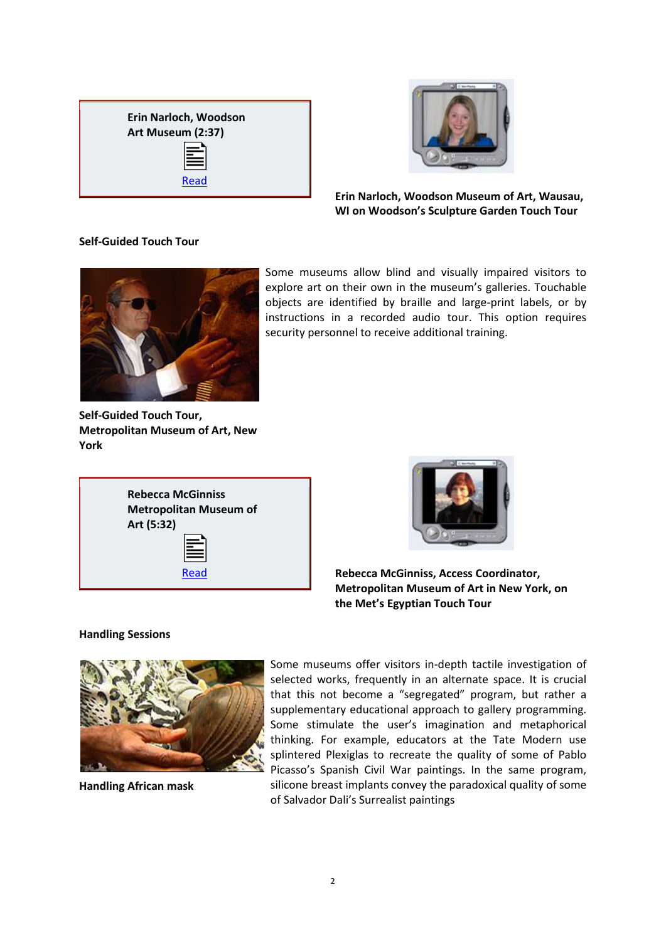



**Erin Narloch, Woodson Museum of Art, Wausau, WI on Woodson's Sculpture Garden Touch Tour** 

### **Self-Guided Touch Tour**



Some museums allow blind and visually impaired visitors to explore art on their own in the museum's galleries. Touchable objects are identified by braille and large-print labels, or by instructions in a recorded audio tour. This option requires security personnel to receive additional training.

**Self-Guided Touch Tour, Metropolitan Museum of Art, New York**

| <b>Rebecca McGinniss</b><br><b>Metropolitan Museum of</b><br>Art (5:32) |  |
|-------------------------------------------------------------------------|--|
| ≧                                                                       |  |
| Read                                                                    |  |



**Rebecca McGinniss, Access Coordinator, Metropolitan Museum of Art in New York, on the Met's Egyptian Touch Tour**

# **Handling Sessions**



**Handling African mask**

Some museums offer visitors in-depth tactile investigation of selected works, frequently in an alternate space. It is crucial that this not become a "segregated" program, but rather a supplementary educational approach to gallery programming. Some stimulate the user's imagination and metaphorical thinking. For example, educators at the Tate Modern use splintered Plexiglas to recreate the quality of some of Pablo Picasso's Spanish Civil War paintings. In the same program, silicone breast implants convey the paradoxical quality of some of Salvador Dali's Surrealist paintings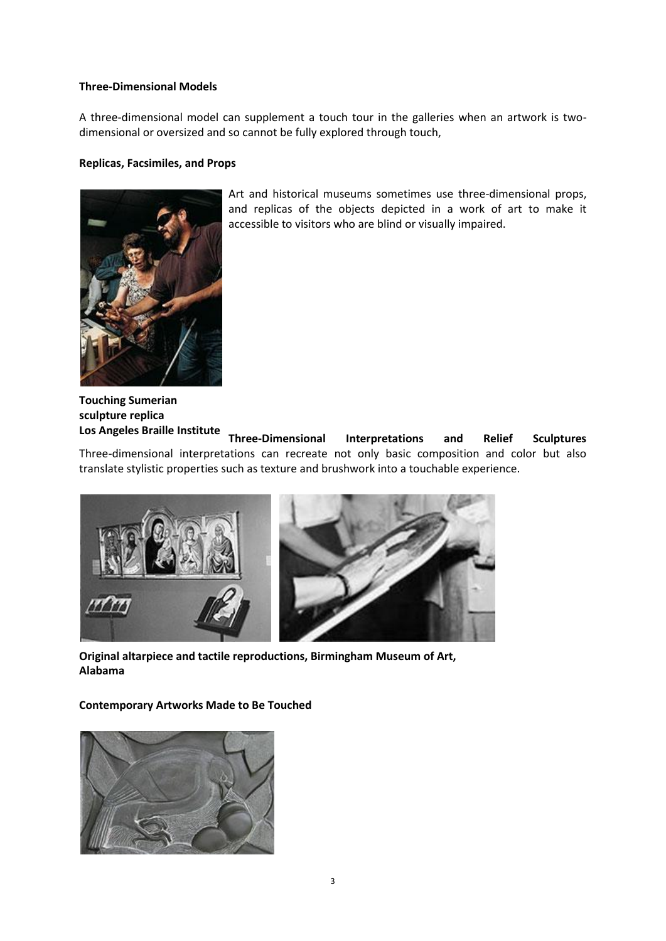### **Three-Dimensional Models**

A three-dimensional model can supplement a touch tour in the galleries when an artwork is twodimensional or oversized and so cannot be fully explored through touch,

#### **Replicas, Facsimiles, and Props**



Art and historical museums sometimes use three-dimensional props, and replicas of the objects depicted in a work of art to make it accessible to visitors who are blind or visually impaired.

**Touching Sumerian sculpture replica Los Angeles Braille Institute**

**Three-Dimensional Interpretations and Relief Sculptures** Three-dimensional interpretations can recreate not only basic composition and color but also translate stylistic properties such as texture and brushwork into a touchable experience.



**Original altarpiece and tactile reproductions, Birmingham Museum of Art, Alabama** 

**Contemporary Artworks Made to Be Touched**

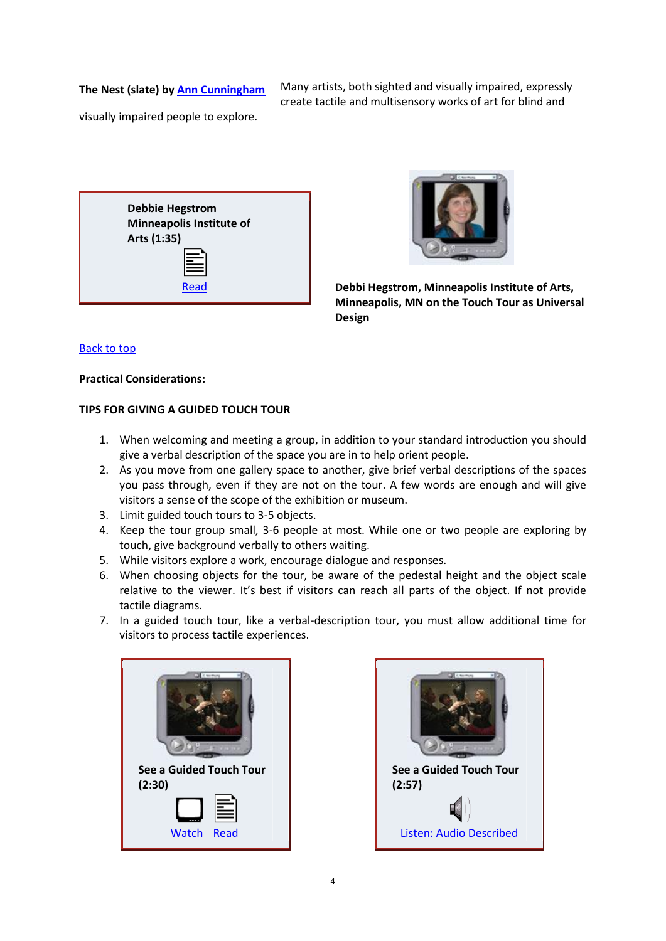## **The Nest (slate) b[y Ann Cunningham](http://www.oooandeye.com/artbase/base_members/ann-cunningham/index.html)**

Many artists, both sighted and visually impaired, expressly create tactile and multisensory works of art for blind and

visually impaired people to explore.





[Read](http://www.artbeyondsight.org/handbook/text-hegstrom-02.shtml) **Debbi Hegstrom, Minneapolis Institute of Arts, Minneapolis, MN on the Touch Tour as Universal Design**

#### [Back to top](http://www.artbeyondsight.org/handbook/acs-touchtools.shtml#top)

#### **Practical Considerations:**

#### **TIPS FOR GIVING A GUIDED TOUCH TOUR**

- 1. When welcoming and meeting a group, in addition to your standard introduction you should give a verbal description of the space you are in to help orient people.
- 2. As you move from one gallery space to another, give brief verbal descriptions of the spaces you pass through, even if they are not on the tour. A few words are enough and will give visitors a sense of the scope of the exhibition or museum.
- 3. Limit guided touch tours to 3-5 objects.
- 4. Keep the tour group small, 3-6 people at most. While one or two people are exploring by touch, give background verbally to others waiting.
- 5. While visitors explore a work, encourage dialogue and responses.
- 6. When choosing objects for the tour, be aware of the pedestal height and the object scale relative to the viewer. It's best if visitors can reach all parts of the object. If not provide tactile diagrams.
- 7. In a guided touch tour, like a verbal-description tour, you must allow additional time for visitors to process tactile experiences.



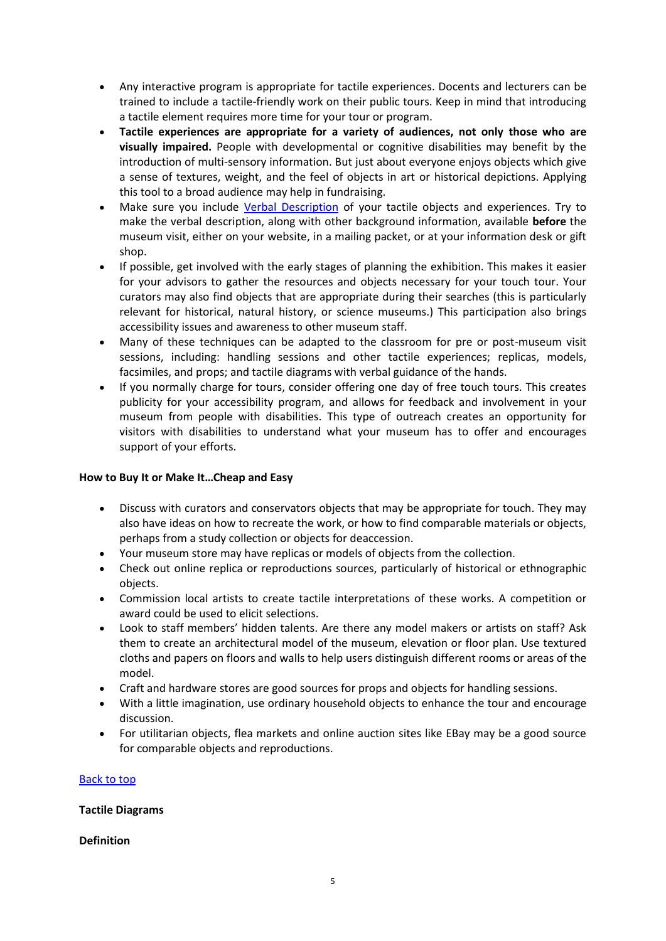- Any interactive program is appropriate for tactile experiences. Docents and lecturers can be trained to include a tactile-friendly work on their public tours. Keep in mind that introducing a tactile element requires more time for your tour or program.
- **Tactile experiences are appropriate for a variety of audiences, not only those who are visually impaired.** People with developmental or cognitive disabilities may benefit by the introduction of multi-sensory information. But just about everyone enjoys objects which give a sense of textures, weight, and the feel of objects in art or historical depictions. Applying this tool to a broad audience may help in fundraising.
- Make sure you include [Verbal Description](http://www.artbeyondsight.org/handbook/acs-guidelines.shtml) of your tactile objects and experiences. Try to make the verbal description, along with other background information, available **before** the museum visit, either on your website, in a mailing packet, or at your information desk or gift shop.
- If possible, get involved with the early stages of planning the exhibition. This makes it easier for your advisors to gather the resources and objects necessary for your touch tour. Your curators may also find objects that are appropriate during their searches (this is particularly relevant for historical, natural history, or science museums.) This participation also brings accessibility issues and awareness to other museum staff.
- Many of these techniques can be adapted to the classroom for pre or post-museum visit sessions, including: handling sessions and other tactile experiences; replicas, models, facsimiles, and props; and tactile diagrams with verbal guidance of the hands.
- If you normally charge for tours, consider offering one day of free touch tours. This creates publicity for your accessibility program, and allows for feedback and involvement in your museum from people with disabilities. This type of outreach creates an opportunity for visitors with disabilities to understand what your museum has to offer and encourages support of your efforts.

# **How to Buy It or Make It…Cheap and Easy**

- Discuss with curators and conservators objects that may be appropriate for touch. They may also have ideas on how to recreate the work, or how to find comparable materials or objects, perhaps from a study collection or objects for deaccession.
- Your museum store may have replicas or models of objects from the collection.
- Check out online replica or reproductions sources, particularly of historical or ethnographic objects.
- Commission local artists to create tactile interpretations of these works. A competition or award could be used to elicit selections.
- Look to staff members' hidden talents. Are there any model makers or artists on staff? Ask them to create an architectural model of the museum, elevation or floor plan. Use textured cloths and papers on floors and walls to help users distinguish different rooms or areas of the model.
- Craft and hardware stores are good sources for props and objects for handling sessions.
- With a little imagination, use ordinary household objects to enhance the tour and encourage discussion.
- For utilitarian objects, flea markets and online auction sites like EBay may be a good source for comparable objects and reproductions.

### [Back to top](http://www.artbeyondsight.org/handbook/acs-touchtools.shtml#top)

### **Tactile Diagrams**

### **Definition**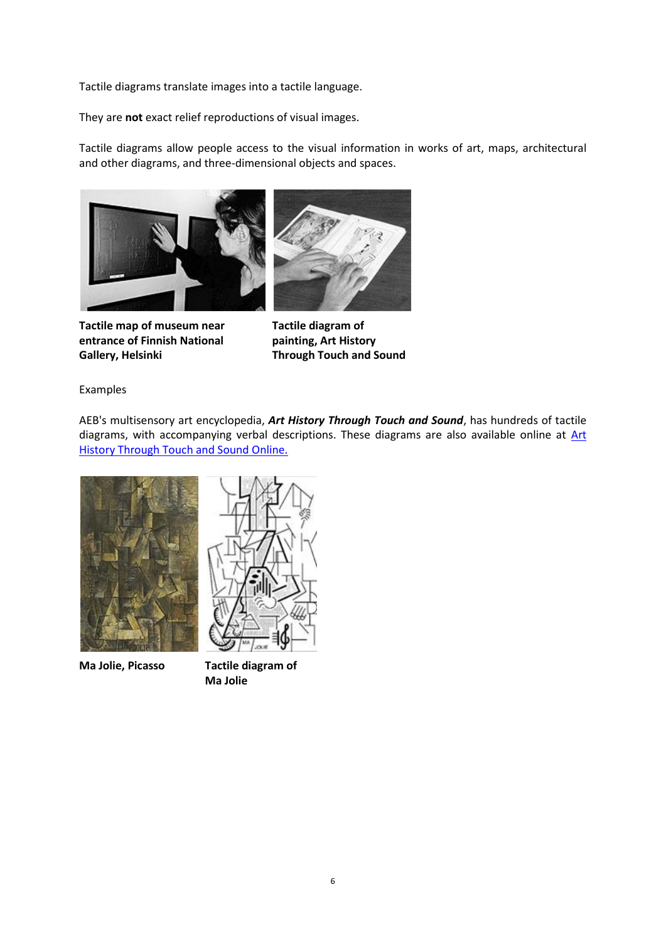Tactile diagrams translate images into a tactile language.

They are **not** exact relief reproductions of visual images.

Tactile diagrams allow people access to the visual information in works of art, maps, architectural and other diagrams, and three-dimensional objects and spaces.



**Tactile map of museum near entrance of Finnish National Gallery, Helsinki**



**Tactile diagram of painting, Art History Through Touch and Sound**

Examples

AEB's multisensory art encyclopedia, *Art History Through Touch and Sound*, has hundreds of tactile diagrams, with accompanying verbal descriptions. These diagrams are also available online at Art **History Through Touch and Sound Online.** 



**Ma Jolie, Picasso Tactile diagram of** 



**Ma Jolie**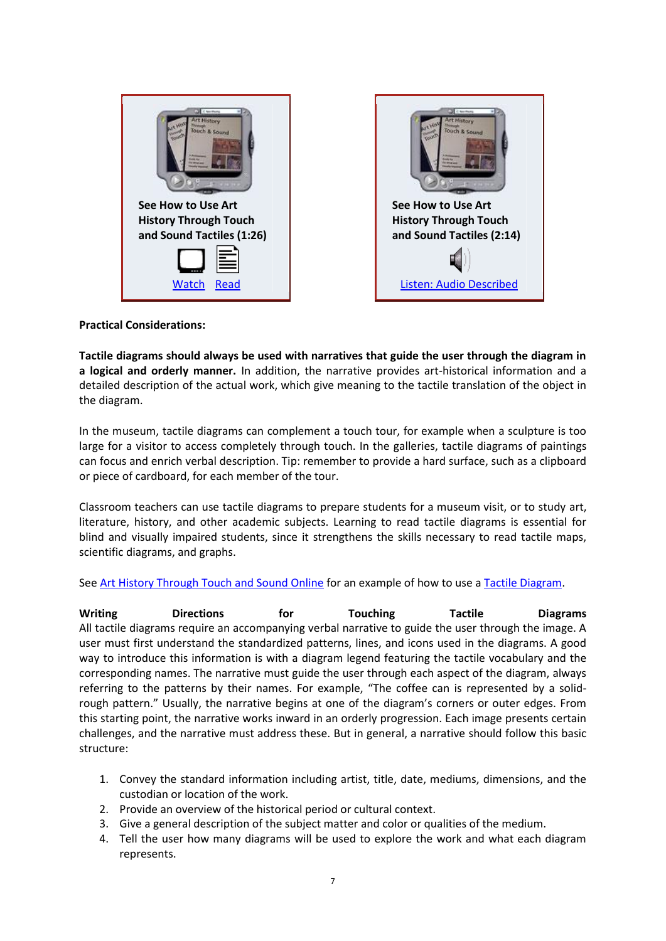| <b>New Plazas</b><br><b>Risi Bouru</b><br><b>Touch &amp; Sound</b><br><b>COLLE</b> | <b>IT History</b><br><b>Touch &amp; Sound</b> |
|------------------------------------------------------------------------------------|-----------------------------------------------|
| See How to Use Art                                                                 | See How to Use Art                            |
| <b>History Through Touch</b>                                                       | <b>History Through Touch</b>                  |
| and Sound Tactiles (1:26)                                                          | and Sound Tactiles (2:14)                     |
|                                                                                    |                                               |
| <b>Watch</b><br>Read                                                               | <b>Listen: Audio Described</b>                |

# **Practical Considerations:**

**Tactile diagrams should always be used with narratives that guide the user through the diagram in a logical and orderly manner.** In addition, the narrative provides art-historical information and a detailed description of the actual work, which give meaning to the tactile translation of the object in the diagram.

In the museum, tactile diagrams can complement a touch tour, for example when a sculpture is too large for a visitor to access completely through touch. In the galleries, tactile diagrams of paintings can focus and enrich verbal description. Tip: remember to provide a hard surface, such as a clipboard or piece of cardboard, for each member of the tour.

Classroom teachers can use tactile diagrams to prepare students for a museum visit, or to study art, literature, history, and other academic subjects. Learning to read tactile diagrams is essential for blind and visually impaired students, since it strengthens the skills necessary to read tactile maps, scientific diagrams, and graphs.

# See [Art History Through Touch and Sound Online](http://www.artbeyondsight.org/ahtts/index.shtml) for an example of how to use a [Tactile Diagram.](http://www.artbeyondsight.org/ahtts/dali-touch.shtml)

Writing **Directions for Touching Tactile** Diagrams All tactile diagrams require an accompanying verbal narrative to guide the user through the image. A user must first understand the standardized patterns, lines, and icons used in the diagrams. A good way to introduce this information is with a diagram legend featuring the tactile vocabulary and the corresponding names. The narrative must guide the user through each aspect of the diagram, always referring to the patterns by their names. For example, "The coffee can is represented by a solidrough pattern." Usually, the narrative begins at one of the diagram's corners or outer edges. From this starting point, the narrative works inward in an orderly progression. Each image presents certain challenges, and the narrative must address these. But in general, a narrative should follow this basic structure:

- 1. Convey the standard information including artist, title, date, mediums, dimensions, and the custodian or location of the work.
- 2. Provide an overview of the historical period or cultural context.
- 3. Give a general description of the subject matter and color or qualities of the medium.
- 4. Tell the user how many diagrams will be used to explore the work and what each diagram represents.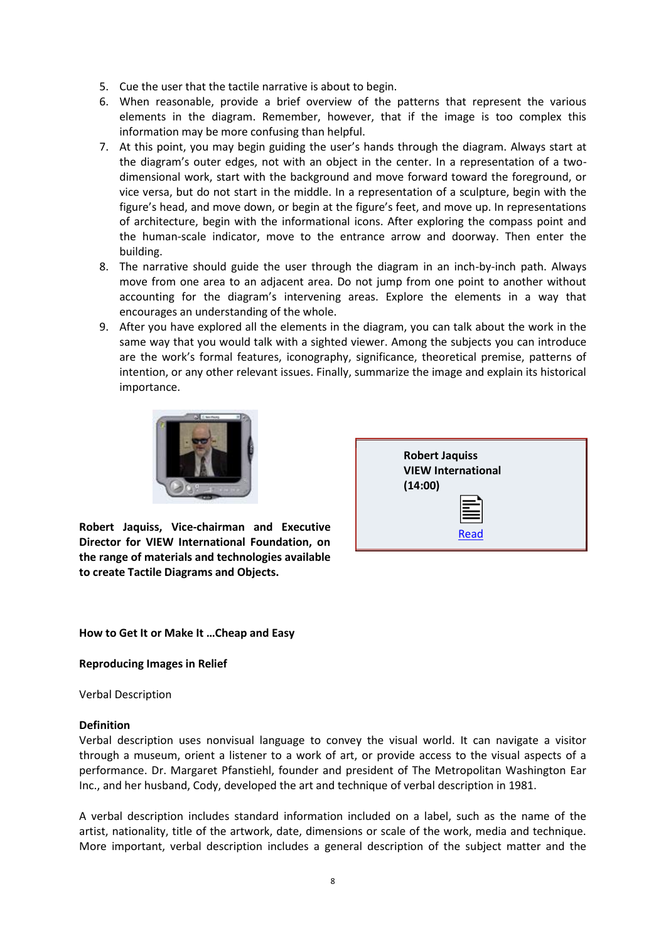- 5. Cue the user that the tactile narrative is about to begin.
- 6. When reasonable, provide a brief overview of the patterns that represent the various elements in the diagram. Remember, however, that if the image is too complex this information may be more confusing than helpful.
- 7. At this point, you may begin guiding the user's hands through the diagram. Always start at the diagram's outer edges, not with an object in the center. In a representation of a twodimensional work, start with the background and move forward toward the foreground, or vice versa, but do not start in the middle. In a representation of a sculpture, begin with the figure's head, and move down, or begin at the figure's feet, and move up. In representations of architecture, begin with the informational icons. After exploring the compass point and the human-scale indicator, move to the entrance arrow and doorway. Then enter the building.
- 8. The narrative should guide the user through the diagram in an inch-by-inch path. Always move from one area to an adjacent area. Do not jump from one point to another without accounting for the diagram's intervening areas. Explore the elements in a way that encourages an understanding of the whole.
- 9. After you have explored all the elements in the diagram, you can talk about the work in the same way that you would talk with a sighted viewer. Among the subjects you can introduce are the work's formal features, iconography, significance, theoretical premise, patterns of intention, or any other relevant issues. Finally, summarize the image and explain its historical importance.



**Robert Jaquiss, Vice-chairman and Executive Director for VIEW International Foundation, on the range of materials and technologies available to create Tactile Diagrams and Objects.** 

| <b>Robert Jaquiss</b><br><b>VIEW International</b><br>(14:00) |
|---------------------------------------------------------------|
| Ë                                                             |
| <b>Read</b>                                                   |

**How to Get It or Make It …Cheap and Easy**

**Reproducing Images in Relief**

Verbal Description

### **Definition**

Verbal description uses nonvisual language to convey the visual world. It can navigate a visitor through a museum, orient a listener to a work of art, or provide access to the visual aspects of a performance. Dr. Margaret Pfanstiehl, founder and president of The Metropolitan Washington Ear Inc., and her husband, Cody, developed the art and technique of verbal description in 1981.

A verbal description includes standard information included on a label, such as the name of the artist, nationality, title of the artwork, date, dimensions or scale of the work, media and technique. More important, verbal description includes a general description of the subject matter and the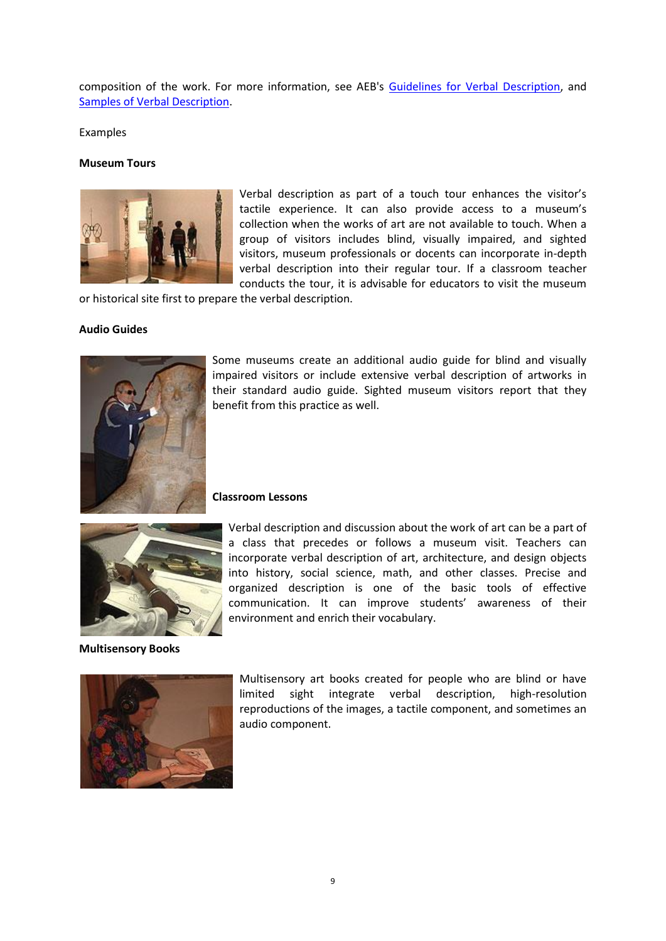composition of the work. For more information, see AEB's [Guidelines for Verbal Description,](http://www.artbeyondsight.org/handbook/acs-guidelines.shtml) and [Samples of Verbal Description.](http://www.artbeyondsight.org/handbook/acs-verbalsamples.shtml)

Examples

#### **Museum Tours**



Verbal description as part of a touch tour enhances the visitor's tactile experience. It can also provide access to a museum's collection when the works of art are not available to touch. When a group of visitors includes blind, visually impaired, and sighted visitors, museum professionals or docents can incorporate in-depth verbal description into their regular tour. If a classroom teacher conducts the tour, it is advisable for educators to visit the museum

or historical site first to prepare the verbal description.

#### **Audio Guides**



Some museums create an additional audio guide for blind and visually impaired visitors or include extensive verbal description of artworks in their standard audio guide. Sighted museum visitors report that they benefit from this practice as well.



**Classroom Lessons**



**Multisensory Books**



incorporate verbal description of art, architecture, and design objects into history, social science, math, and other classes. Precise and organized description is one of the basic tools of effective communication. It can improve students' awareness of their environment and enrich their vocabulary.

Verbal description and discussion about the work of art can be a part of a class that precedes or follows a museum visit. Teachers can

Multisensory art books created for people who are blind or have limited sight integrate verbal description, high-resolution reproductions of the images, a tactile component, and sometimes an audio component.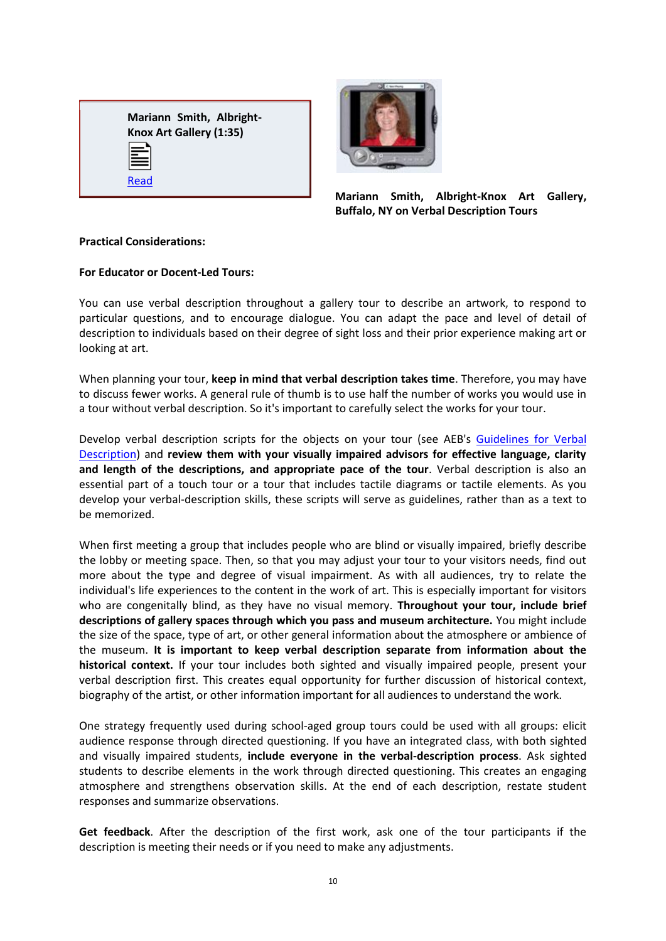



**Mariann Smith, Albright-Knox Art Gallery, Buffalo, NY on Verbal Description Tours**

## **Practical Considerations:**

# **For Educator or Docent-Led Tours:**

You can use verbal description throughout a gallery tour to describe an artwork, to respond to particular questions, and to encourage dialogue. You can adapt the pace and level of detail of description to individuals based on their degree of sight loss and their prior experience making art or looking at art.

When planning your tour, **keep in mind that verbal description takes time**. Therefore, you may have to discuss fewer works. A general rule of thumb is to use half the number of works you would use in a tour without verbal description. So it's important to carefully select the works for your tour.

Develop verbal description scripts for the objects on your tour (see AEB's [Guidelines for Verbal](http://www.artbeyondsight.org/handbook/acs-guidelines.shtml)  [Description\)](http://www.artbeyondsight.org/handbook/acs-guidelines.shtml) and **review them with your visually impaired advisors for effective language, clarity and length of the descriptions, and appropriate pace of the tour**. Verbal description is also an essential part of a touch tour or a tour that includes tactile diagrams or tactile elements. As you develop your verbal-description skills, these scripts will serve as guidelines, rather than as a text to be memorized.

When first meeting a group that includes people who are blind or visually impaired, briefly describe the lobby or meeting space. Then, so that you may adjust your tour to your visitors needs, find out more about the type and degree of visual impairment. As with all audiences, try to relate the individual's life experiences to the content in the work of art. This is especially important for visitors who are congenitally blind, as they have no visual memory. **Throughout your tour, include brief descriptions of gallery spaces through which you pass and museum architecture.** You might include the size of the space, type of art, or other general information about the atmosphere or ambience of the museum. **It is important to keep verbal description separate from information about the historical context.** If your tour includes both sighted and visually impaired people, present your verbal description first. This creates equal opportunity for further discussion of historical context, biography of the artist, or other information important for all audiences to understand the work.

One strategy frequently used during school-aged group tours could be used with all groups: elicit audience response through directed questioning. If you have an integrated class, with both sighted and visually impaired students, **include everyone in the verbal-description process**. Ask sighted students to describe elements in the work through directed questioning. This creates an engaging atmosphere and strengthens observation skills. At the end of each description, restate student responses and summarize observations.

**Get feedback**. After the description of the first work, ask one of the tour participants if the description is meeting their needs or if you need to make any adjustments.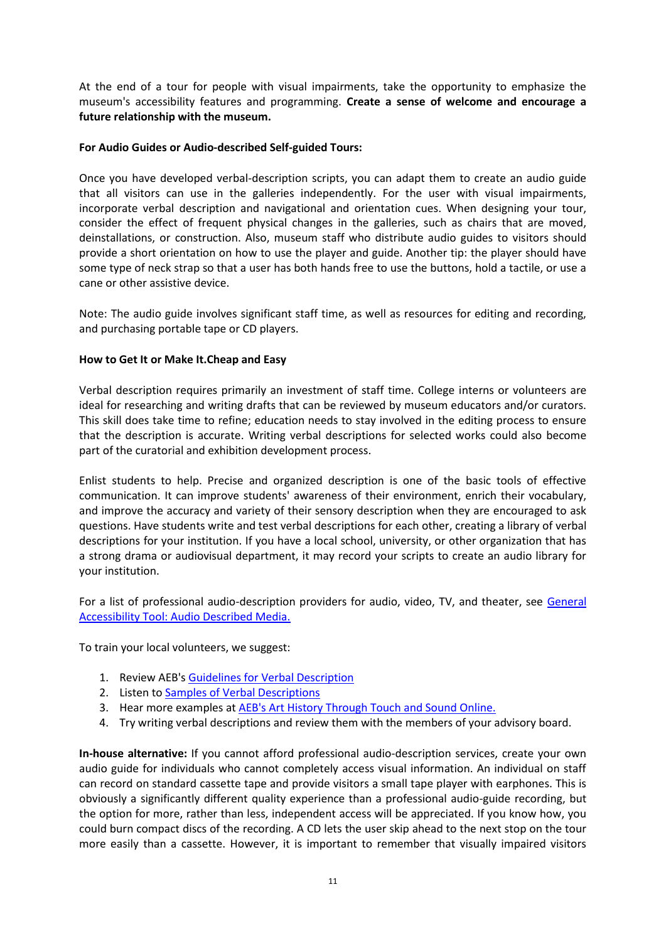At the end of a tour for people with visual impairments, take the opportunity to emphasize the museum's accessibility features and programming. **Create a sense of welcome and encourage a future relationship with the museum.** 

# **For Audio Guides or Audio-described Self-guided Tours:**

Once you have developed verbal-description scripts, you can adapt them to create an audio guide that all visitors can use in the galleries independently. For the user with visual impairments, incorporate verbal description and navigational and orientation cues. When designing your tour, consider the effect of frequent physical changes in the galleries, such as chairs that are moved, deinstallations, or construction. Also, museum staff who distribute audio guides to visitors should provide a short orientation on how to use the player and guide. Another tip: the player should have some type of neck strap so that a user has both hands free to use the buttons, hold a tactile, or use a cane or other assistive device.

Note: The audio guide involves significant staff time, as well as resources for editing and recording, and purchasing portable tape or CD players.

# **How to Get It or Make It.Cheap and Easy**

Verbal description requires primarily an investment of staff time. College interns or volunteers are ideal for researching and writing drafts that can be reviewed by museum educators and/or curators. This skill does take time to refine; education needs to stay involved in the editing process to ensure that the description is accurate. Writing verbal descriptions for selected works could also become part of the curatorial and exhibition development process.

Enlist students to help. Precise and organized description is one of the basic tools of effective communication. It can improve students' awareness of their environment, enrich their vocabulary, and improve the accuracy and variety of their sensory description when they are encouraged to ask questions. Have students write and test verbal descriptions for each other, creating a library of verbal descriptions for your institution. If you have a local school, university, or other organization that has a strong drama or audiovisual department, it may record your scripts to create an audio library for your institution.

For a list of professional audio-description providers for audio, video, TV, and theater, see General [Accessibility Tool: Audio Described Media.](http://www.artbeyondsight.org/handbook/acs-audiodescribed.shtml)

To train your local volunteers, we suggest:

- 1. Review AEB'[s Guidelines for Verbal Description](http://www.artbeyondsight.org/handbook/acs-guidelines.shtml)
- 2. Listen t[o Samples of Verbal Descriptions](http://www.artbeyondsight.org/handbook/acs-verbalsamples.shtml)
- 3. Hear more examples a[t AEB's Art History Through Touch and Sound Online.](http://www.artbeyondsight.org/ahtts/index.shtml)
- 4. Try writing verbal descriptions and review them with the members of your advisory board.

**In-house alternative:** If you cannot afford professional audio-description services, create your own audio guide for individuals who cannot completely access visual information. An individual on staff can record on standard cassette tape and provide visitors a small tape player with earphones. This is obviously a significantly different quality experience than a professional audio-guide recording, but the option for more, rather than less, independent access will be appreciated. If you know how, you could burn compact discs of the recording. A CD lets the user skip ahead to the next stop on the tour more easily than a cassette. However, it is important to remember that visually impaired visitors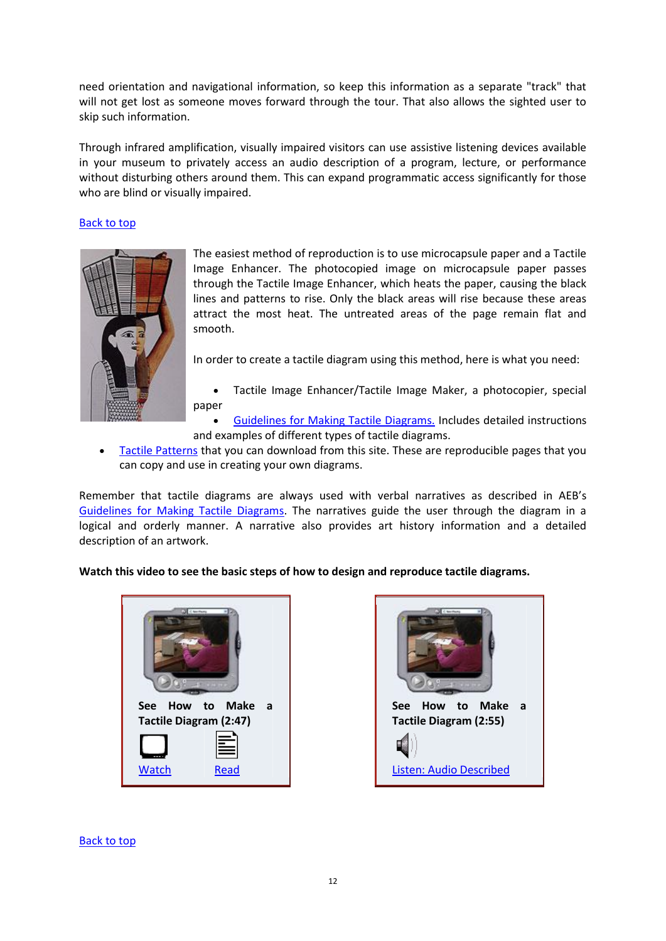need orientation and navigational information, so keep this information as a separate "track" that will not get lost as someone moves forward through the tour. That also allows the sighted user to skip such information.

Through infrared amplification, visually impaired visitors can use assistive listening devices available in your museum to privately access an audio description of a program, lecture, or performance without disturbing others around them. This can expand programmatic access significantly for those who are blind or visually impaired.

### [Back to top](http://www.artbeyondsight.org/handbook/acs-verbal.shtml#top)



The easiest method of reproduction is to use microcapsule paper and a Tactile Image Enhancer. The photocopied image on microcapsule paper passes through the Tactile Image Enhancer, which heats the paper, causing the black lines and patterns to rise. Only the black areas will rise because these areas attract the most heat. The untreated areas of the page remain flat and smooth.

In order to create a tactile diagram using this method, here is what you need:

- Tactile Image Enhancer/Tactile Image Maker, a photocopier, special paper
- [Guidelines for Making Tactile Diagrams.](http://www.artbeyondsight.org/handbook/acs-tactileguidelines.shtml) Includes detailed instructions and examples of different types of tactile diagrams.
- [Tactile Patterns](http://www.artbeyondsight.org/handbook/acs-tactilepatterns.shtml) that you can download from this site. These are reproducible pages that you can copy and use in creating your own diagrams.

Remember that tactile diagrams are always used with verbal narratives as described in AEB's [Guidelines for Making Tactile Diagrams.](http://www.artbeyondsight.org/handbook/acs-tactileguidelines.shtml) The narratives guide the user through the diagram in a logical and orderly manner. A narrative also provides art history information and a detailed description of an artwork.

# **Watch this video to see the basic steps of how to design and reproduce tactile diagrams.**





[Back to top](http://www.artbeyondsight.org/handbook/acs-tactile.shtml#top)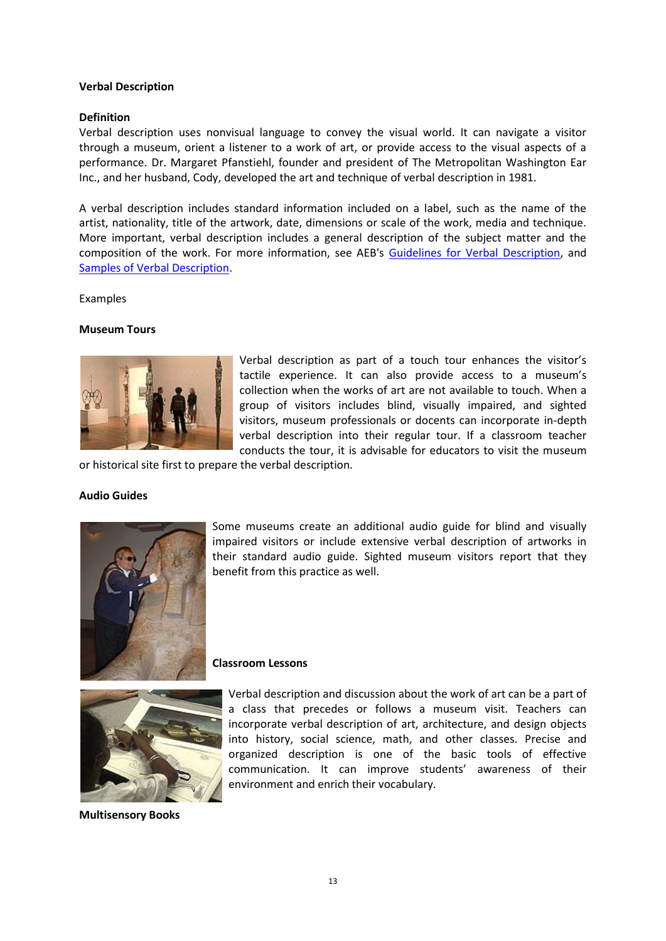### **Verbal Description**

#### **Definition**

Verbal description uses nonvisual language to convey the visual world. It can navigate a visitor through a museum, orient a listener to a work of art, or provide access to the visual aspects of a performance. Dr. Margaret Pfanstiehl, founder and president of The Metropolitan Washington Ear Inc., and her husband, Cody, developed the art and technique of verbal description in 1981.

A verbal description includes standard information included on a label, such as the name of the artist, nationality, title of the artwork, date, dimensions or scale of the work, media and technique. More important, verbal description includes a general description of the subject matter and the composition of the work. For more information, see AEB's [Guidelines for Verbal Description,](http://www.artbeyondsight.org/handbook/acs-guidelines.shtml) and [Samples of Verbal Description.](http://www.artbeyondsight.org/handbook/acs-verbalsamples.shtml)

#### Examples

#### **Museum Tours**



Verbal description as part of a touch tour enhances the visitor's tactile experience. It can also provide access to a museum's collection when the works of art are not available to touch. When a group of visitors includes blind, visually impaired, and sighted visitors, museum professionals or docents can incorporate in-depth verbal description into their regular tour. If a classroom teacher conducts the tour, it is advisable for educators to visit the museum

or historical site first to prepare the verbal description.

#### **Audio Guides**



Some museums create an additional audio guide for blind and visually impaired visitors or include extensive verbal description of artworks in their standard audio guide. Sighted museum visitors report that they benefit from this practice as well.

#### **Classroom Lessons**



Verbal description and discussion about the work of art can be a part of a class that precedes or follows a museum visit. Teachers can incorporate verbal description of art, architecture, and design objects into history, social science, math, and other classes. Precise and organized description is one of the basic tools of effective communication. It can improve students' awareness of their environment and enrich their vocabulary.

**Multisensory Books**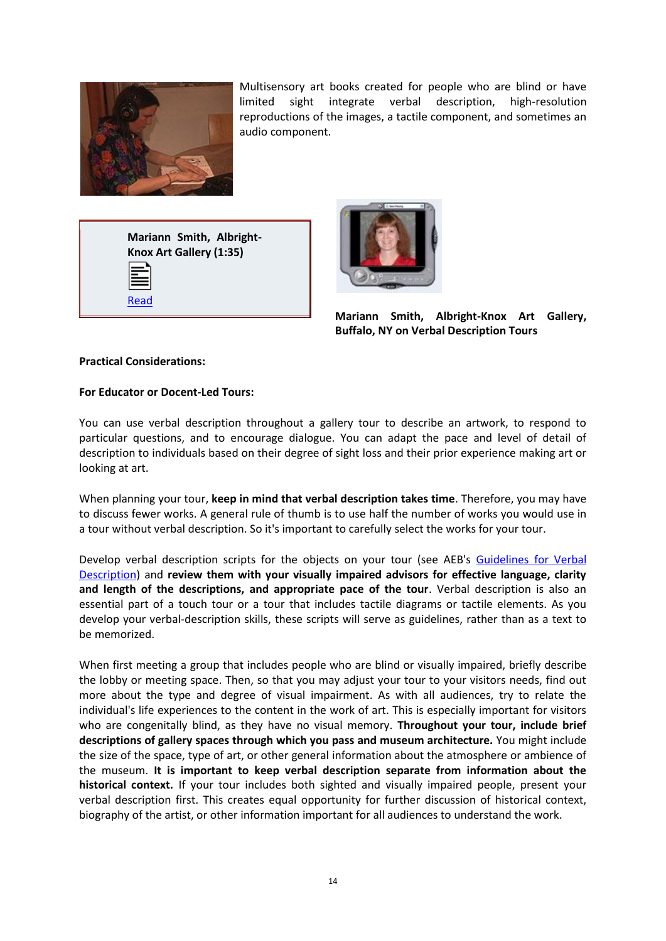

Multisensory art books created for people who are blind or have limited sight integrate verbal description, high-resolution reproductions of the images, a tactile component, and sometimes an audio component.

**Mariann Smith, Albright-Knox Art Gallery (1:35)** [Read](http://www.artbeyondsight.org/handbook/text-smith-verbal-tour.shtml)



**Mariann Smith, Albright-Knox Art Gallery, Buffalo, NY on Verbal Description Tours**

# **Practical Considerations:**

### **For Educator or Docent-Led Tours:**

You can use verbal description throughout a gallery tour to describe an artwork, to respond to particular questions, and to encourage dialogue. You can adapt the pace and level of detail of description to individuals based on their degree of sight loss and their prior experience making art or looking at art.

When planning your tour, **keep in mind that verbal description takes time**. Therefore, you may have to discuss fewer works. A general rule of thumb is to use half the number of works you would use in a tour without verbal description. So it's important to carefully select the works for your tour.

Develop verbal description scripts for the objects on your tour (see AEB's Guidelines for Verbal [Description\)](http://www.artbeyondsight.org/handbook/acs-guidelines.shtml) and **review them with your visually impaired advisors for effective language, clarity and length of the descriptions, and appropriate pace of the tour**. Verbal description is also an essential part of a touch tour or a tour that includes tactile diagrams or tactile elements. As you develop your verbal-description skills, these scripts will serve as guidelines, rather than as a text to be memorized.

When first meeting a group that includes people who are blind or visually impaired, briefly describe the lobby or meeting space. Then, so that you may adjust your tour to your visitors needs, find out more about the type and degree of visual impairment. As with all audiences, try to relate the individual's life experiences to the content in the work of art. This is especially important for visitors who are congenitally blind, as they have no visual memory. **Throughout your tour, include brief descriptions of gallery spaces through which you pass and museum architecture.** You might include the size of the space, type of art, or other general information about the atmosphere or ambience of the museum. **It is important to keep verbal description separate from information about the historical context.** If your tour includes both sighted and visually impaired people, present your verbal description first. This creates equal opportunity for further discussion of historical context, biography of the artist, or other information important for all audiences to understand the work.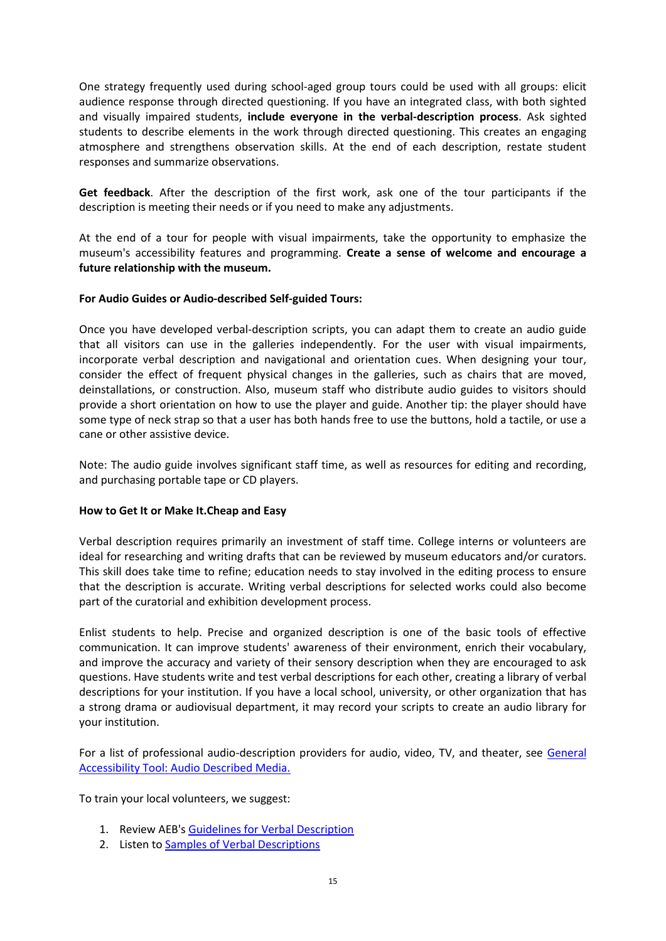One strategy frequently used during school-aged group tours could be used with all groups: elicit audience response through directed questioning. If you have an integrated class, with both sighted and visually impaired students, **include everyone in the verbal-description process**. Ask sighted students to describe elements in the work through directed questioning. This creates an engaging atmosphere and strengthens observation skills. At the end of each description, restate student responses and summarize observations.

**Get feedback**. After the description of the first work, ask one of the tour participants if the description is meeting their needs or if you need to make any adjustments.

At the end of a tour for people with visual impairments, take the opportunity to emphasize the museum's accessibility features and programming. **Create a sense of welcome and encourage a future relationship with the museum.** 

# **For Audio Guides or Audio-described Self-guided Tours:**

Once you have developed verbal-description scripts, you can adapt them to create an audio guide that all visitors can use in the galleries independently. For the user with visual impairments, incorporate verbal description and navigational and orientation cues. When designing your tour, consider the effect of frequent physical changes in the galleries, such as chairs that are moved, deinstallations, or construction. Also, museum staff who distribute audio guides to visitors should provide a short orientation on how to use the player and guide. Another tip: the player should have some type of neck strap so that a user has both hands free to use the buttons, hold a tactile, or use a cane or other assistive device.

Note: The audio guide involves significant staff time, as well as resources for editing and recording, and purchasing portable tape or CD players.

### **How to Get It or Make It.Cheap and Easy**

Verbal description requires primarily an investment of staff time. College interns or volunteers are ideal for researching and writing drafts that can be reviewed by museum educators and/or curators. This skill does take time to refine; education needs to stay involved in the editing process to ensure that the description is accurate. Writing verbal descriptions for selected works could also become part of the curatorial and exhibition development process.

Enlist students to help. Precise and organized description is one of the basic tools of effective communication. It can improve students' awareness of their environment, enrich their vocabulary, and improve the accuracy and variety of their sensory description when they are encouraged to ask questions. Have students write and test verbal descriptions for each other, creating a library of verbal descriptions for your institution. If you have a local school, university, or other organization that has a strong drama or audiovisual department, it may record your scripts to create an audio library for your institution.

For a list of professional audio-description providers for audio, video, TV, and theater, see [General](http://www.artbeyondsight.org/handbook/acs-audiodescribed.shtml)  [Accessibility Tool: Audio Described Media.](http://www.artbeyondsight.org/handbook/acs-audiodescribed.shtml)

To train your local volunteers, we suggest:

- 1. Review AEB'[s Guidelines for Verbal Description](http://www.artbeyondsight.org/handbook/acs-guidelines.shtml)
- 2. Listen t[o Samples of Verbal Descriptions](http://www.artbeyondsight.org/handbook/acs-verbalsamples.shtml)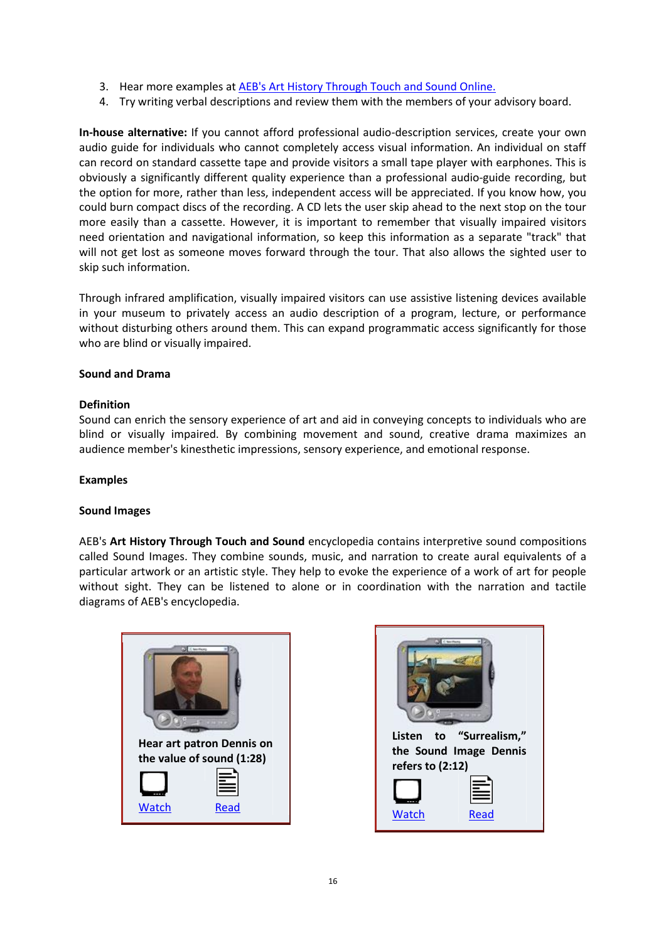- 3. Hear more examples a[t AEB's Art History Through Touch and Sound Online.](http://www.artbeyondsight.org/ahtts/index.shtml)
- 4. Try writing verbal descriptions and review them with the members of your advisory board.

**In-house alternative:** If you cannot afford professional audio-description services, create your own audio guide for individuals who cannot completely access visual information. An individual on staff can record on standard cassette tape and provide visitors a small tape player with earphones. This is obviously a significantly different quality experience than a professional audio-guide recording, but the option for more, rather than less, independent access will be appreciated. If you know how, you could burn compact discs of the recording. A CD lets the user skip ahead to the next stop on the tour more easily than a cassette. However, it is important to remember that visually impaired visitors need orientation and navigational information, so keep this information as a separate "track" that will not get lost as someone moves forward through the tour. That also allows the sighted user to skip such information.

Through infrared amplification, visually impaired visitors can use assistive listening devices available in your museum to privately access an audio description of a program, lecture, or performance without disturbing others around them. This can expand programmatic access significantly for those who are blind or visually impaired.

### **Sound and Drama**

### **Definition**

Sound can enrich the sensory experience of art and aid in conveying concepts to individuals who are blind or visually impaired. By combining movement and sound, creative drama maximizes an audience member's kinesthetic impressions, sensory experience, and emotional response.

### **Examples**

### **Sound Images**

AEB's **Art History Through Touch and Sound** encyclopedia contains interpretive sound compositions called Sound Images. They combine sounds, music, and narration to create aural equivalents of a particular artwork or an artistic style. They help to evoke the experience of a work of art for people without sight. They can be listened to alone or in coordination with the narration and tactile diagrams of AEB's encyclopedia.



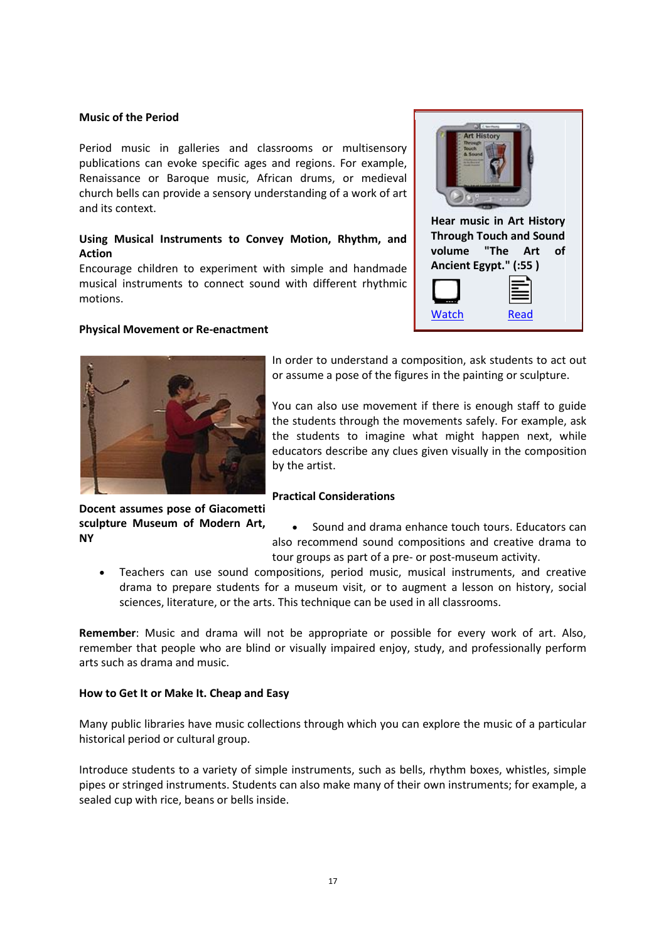#### **Music of the Period**

Period music in galleries and classrooms or multisensory publications can evoke specific ages and regions. For example, Renaissance or Baroque music, African drums, or medieval church bells can provide a sensory understanding of a work of art and its context.

# **Using Musical Instruments to Convey Motion, Rhythm, and Action**

Encourage children to experiment with simple and handmade musical instruments to connect sound with different rhythmic motions.

#### **Physical Movement or Re-enactment**





In order to understand a composition, ask students to act out or assume a pose of the figures in the painting or sculpture.

You can also use movement if there is enough staff to guide the students through the movements safely. For example, ask the students to imagine what might happen next, while educators describe any clues given visually in the composition by the artist.

### **Practical Considerations**

**Docent assumes pose of Giacometti sculpture Museum of Modern Art, NY**

 Sound and drama enhance touch tours. Educators can also recommend sound compositions and creative drama to tour groups as part of a pre- or post-museum activity.

 Teachers can use sound compositions, period music, musical instruments, and creative drama to prepare students for a museum visit, or to augment a lesson on history, social sciences, literature, or the arts. This technique can be used in all classrooms.

**Remember**: Music and drama will not be appropriate or possible for every work of art. Also, remember that people who are blind or visually impaired enjoy, study, and professionally perform arts such as drama and music.

### **How to Get It or Make It. Cheap and Easy**

Many public libraries have music collections through which you can explore the music of a particular historical period or cultural group.

Introduce students to a variety of simple instruments, such as bells, rhythm boxes, whistles, simple pipes or stringed instruments. Students can also make many of their own instruments; for example, a sealed cup with rice, beans or bells inside.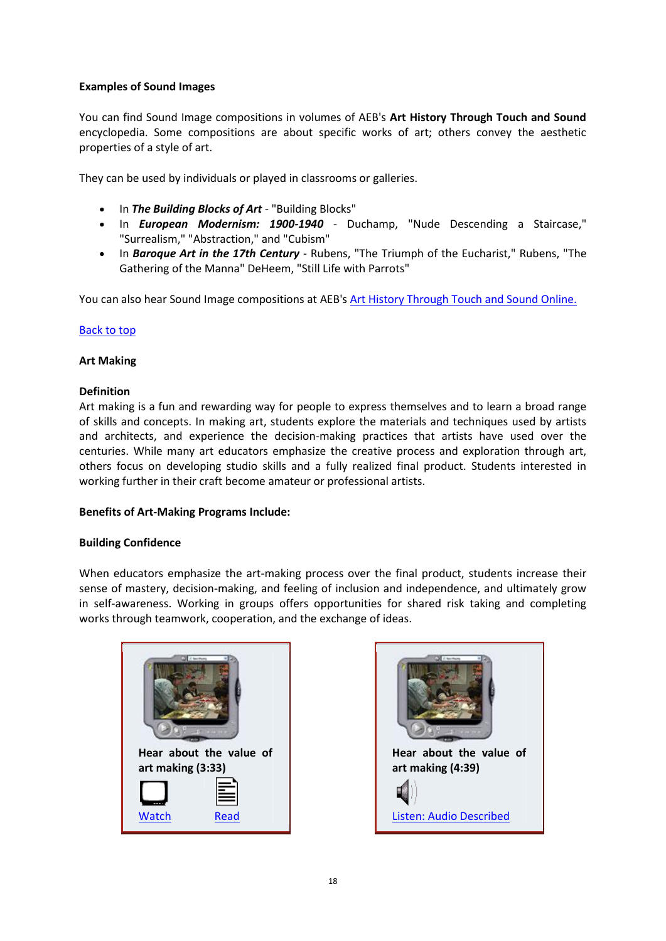# **Examples of Sound Images**

You can find Sound Image compositions in volumes of AEB's **Art History Through Touch and Sound**  encyclopedia. Some compositions are about specific works of art; others convey the aesthetic properties of a style of art.

They can be used by individuals or played in classrooms or galleries.

- In *The Building Blocks of Art* "Building Blocks"
- In *European Modernism: 1900-1940*  Duchamp, "Nude Descending a Staircase," "Surrealism," "Abstraction," and "Cubism"
- In *Baroque Art in the 17th Century*  Rubens, "The Triumph of the Eucharist," Rubens, "The Gathering of the Manna" DeHeem, "Still Life with Parrots"

You can also hear Sound Image compositions at AEB's [Art History Through Touch and Sound Online.](http://www.artbeyondsight.org/ahtts/index.shtml)

# [Back to top](http://www.artbeyondsight.org/handbook/acs-sounddrama.shtml#top)

### **Art Making**

### **Definition**

Art making is a fun and rewarding way for people to express themselves and to learn a broad range of skills and concepts. In making art, students explore the materials and techniques used by artists and architects, and experience the decision-making practices that artists have used over the centuries. While many art educators emphasize the creative process and exploration through art, others focus on developing studio skills and a fully realized final product. Students interested in working further in their craft become amateur or professional artists.

### **Benefits of Art-Making Programs Include:**

### **Building Confidence**

When educators emphasize the art-making process over the final product, students increase their sense of mastery, decision-making, and feeling of inclusion and independence, and ultimately grow in self-awareness. Working in groups offers opportunities for shared risk taking and completing works through teamwork, cooperation, and the exchange of ideas.



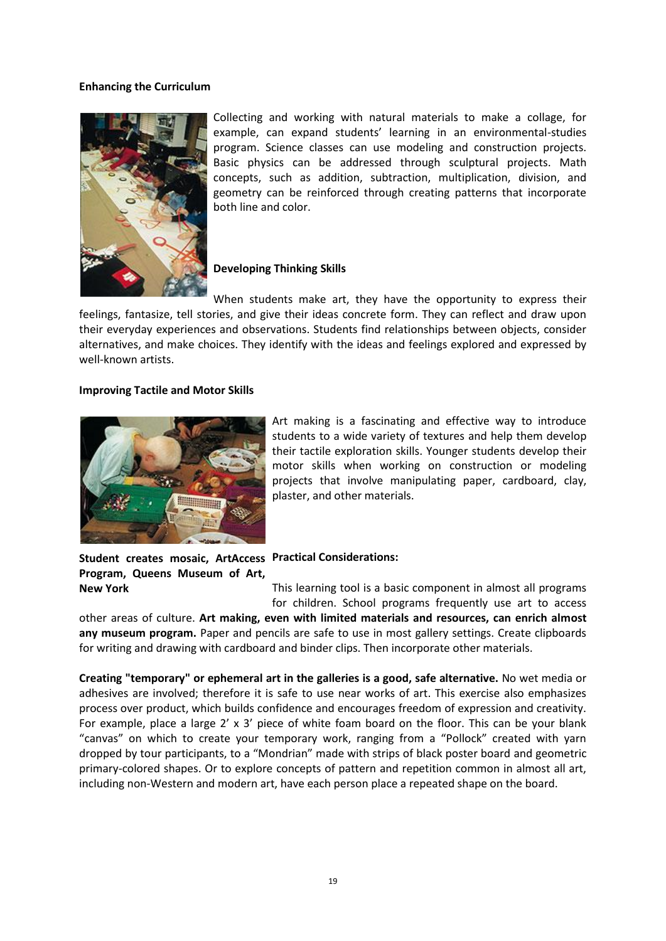#### **Enhancing the Curriculum**



Collecting and working with natural materials to make a collage, for example, can expand students' learning in an environmental-studies program. Science classes can use modeling and construction projects. Basic physics can be addressed through sculptural projects. Math concepts, such as addition, subtraction, multiplication, division, and geometry can be reinforced through creating patterns that incorporate both line and color.

# **Developing Thinking Skills**

When students make art, they have the opportunity to express their feelings, fantasize, tell stories, and give their ideas concrete form. They can reflect and draw upon their everyday experiences and observations. Students find relationships between objects, consider alternatives, and make choices. They identify with the ideas and feelings explored and expressed by well-known artists.

#### **Improving Tactile and Motor Skills**



Art making is a fascinating and effective way to introduce students to a wide variety of textures and help them develop their tactile exploration skills. Younger students develop their motor skills when working on construction or modeling projects that involve manipulating paper, cardboard, clay, plaster, and other materials.

Student creates mosaic, ArtAccess Practical Considerations: **Program, Queens Museum of Art, New York**

This learning tool is a basic component in almost all programs for children. School programs frequently use art to access

other areas of culture. **Art making, even with limited materials and resources, can enrich almost any museum program.** Paper and pencils are safe to use in most gallery settings. Create clipboards for writing and drawing with cardboard and binder clips. Then incorporate other materials.

**Creating "temporary" or ephemeral art in the galleries is a good, safe alternative.** No wet media or adhesives are involved; therefore it is safe to use near works of art. This exercise also emphasizes process over product, which builds confidence and encourages freedom of expression and creativity. For example, place a large 2' x 3' piece of white foam board on the floor. This can be your blank "canvas" on which to create your temporary work, ranging from a "Pollock" created with yarn dropped by tour participants, to a "Mondrian" made with strips of black poster board and geometric primary-colored shapes. Or to explore concepts of pattern and repetition common in almost all art, including non-Western and modern art, have each person place a repeated shape on the board.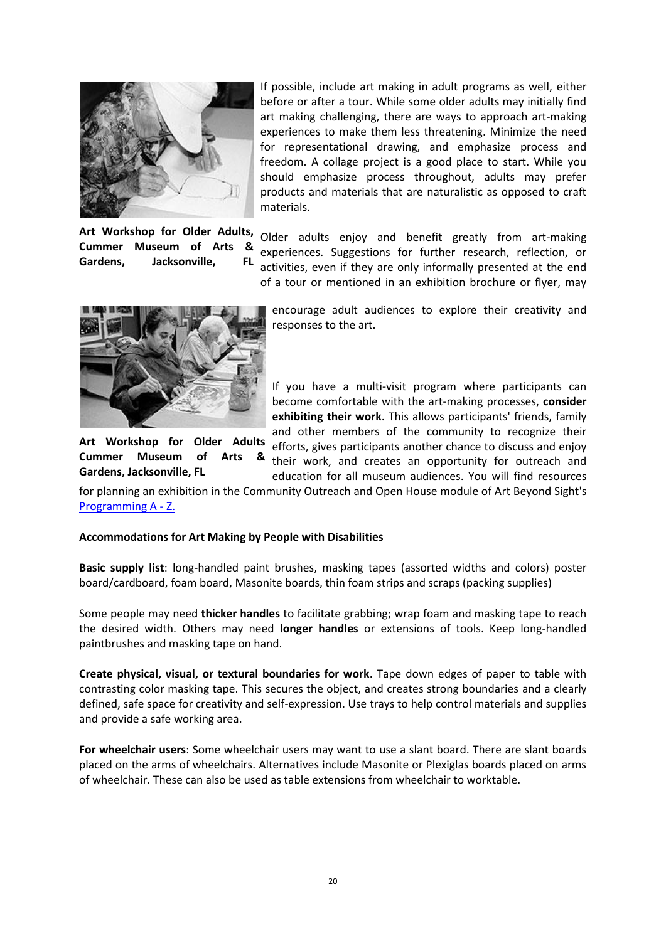

**Art Workshop for Older Adults, Cummer Museum of Arts & Gardens, Jacksonville, FL**

If possible, include art making in adult programs as well, either before or after a tour. While some older adults may initially find art making challenging, there are ways to approach art-making experiences to make them less threatening. Minimize the need for representational drawing, and emphasize process and freedom. A collage project is a good place to start. While you should emphasize process throughout, adults may prefer products and materials that are naturalistic as opposed to craft materials.

Older adults enjoy and benefit greatly from art-making experiences. Suggestions for further research, reflection, or activities, even if they are only informally presented at the end of a tour or mentioned in an exhibition brochure or flyer, may



encourage adult audiences to explore their creativity and responses to the art.

If you have a multi-visit program where participants can become comfortable with the art-making processes, **consider exhibiting their work**. This allows participants' friends, family and other members of the community to recognize their efforts, gives participants another chance to discuss and enjoy their work, and creates an opportunity for outreach and

education for all museum audiences. You will find resources

**Art Workshop for Older Adults Cummer Museum of Arts Gardens, Jacksonville, FL**

for planning an exhibition in the Community Outreach and Open House module of Art Beyond Sight's [Programming A -](http://www.artbeyondsight.org/handbook/az-home.shtml) Z.

### **Accommodations for Art Making by People with Disabilities**

**Basic supply list**: long-handled paint brushes, masking tapes (assorted widths and colors) poster board/cardboard, foam board, Masonite boards, thin foam strips and scraps (packing supplies)

Some people may need **thicker handles** to facilitate grabbing; wrap foam and masking tape to reach the desired width. Others may need **longer handles** or extensions of tools. Keep long-handled paintbrushes and masking tape on hand.

**Create physical, visual, or textural boundaries for work**. Tape down edges of paper to table with contrasting color masking tape. This secures the object, and creates strong boundaries and a clearly defined, safe space for creativity and self-expression. Use trays to help control materials and supplies and provide a safe working area.

**For wheelchair users**: Some wheelchair users may want to use a slant board. There are slant boards placed on the arms of wheelchairs. Alternatives include Masonite or Plexiglas boards placed on arms of wheelchair. These can also be used as table extensions from wheelchair to worktable.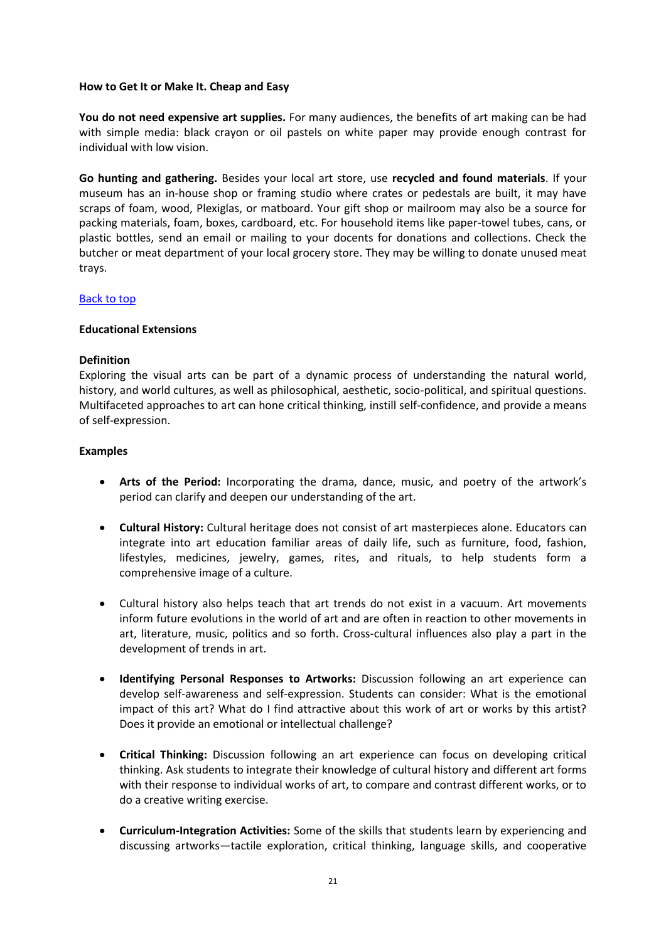### **How to Get It or Make It. Cheap and Easy**

**You do not need expensive art supplies.** For many audiences, the benefits of art making can be had with simple media: black crayon or oil pastels on white paper may provide enough contrast for individual with low vision.

**Go hunting and gathering.** Besides your local art store, use **recycled and found materials**. If your museum has an in-house shop or framing studio where crates or pedestals are built, it may have scraps of foam, wood, Plexiglas, or matboard. Your gift shop or mailroom may also be a source for packing materials, foam, boxes, cardboard, etc. For household items like paper-towel tubes, cans, or plastic bottles, send an email or mailing to your docents for donations and collections. Check the butcher or meat department of your local grocery store. They may be willing to donate unused meat trays.

# [Back to top](http://www.artbeyondsight.org/handbook/acs-artmaking.shtml#top)

### **Educational Extensions**

# **Definition**

Exploring the visual arts can be part of a dynamic process of understanding the natural world, history, and world cultures, as well as philosophical, aesthetic, socio-political, and spiritual questions. Multifaceted approaches to art can hone critical thinking, instill self-confidence, and provide a means of self-expression.

# **Examples**

- **Arts of the Period:** Incorporating the drama, dance, music, and poetry of the artwork's period can clarify and deepen our understanding of the art.
- **Cultural History:** Cultural heritage does not consist of art masterpieces alone. Educators can integrate into art education familiar areas of daily life, such as furniture, food, fashion, lifestyles, medicines, jewelry, games, rites, and rituals, to help students form a comprehensive image of a culture.
- Cultural history also helps teach that art trends do not exist in a vacuum. Art movements inform future evolutions in the world of art and are often in reaction to other movements in art, literature, music, politics and so forth. Cross-cultural influences also play a part in the development of trends in art.
- **Identifying Personal Responses to Artworks:** Discussion following an art experience can develop self-awareness and self-expression. Students can consider: What is the emotional impact of this art? What do I find attractive about this work of art or works by this artist? Does it provide an emotional or intellectual challenge?
- **Critical Thinking:** Discussion following an art experience can focus on developing critical thinking. Ask students to integrate their knowledge of cultural history and different art forms with their response to individual works of art, to compare and contrast different works, or to do a creative writing exercise.
- **Curriculum-Integration Activities:** Some of the skills that students learn by experiencing and discussing artworks—tactile exploration, critical thinking, language skills, and cooperative